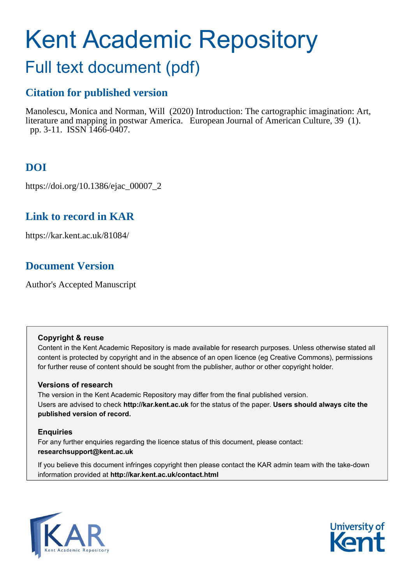# Kent Academic Repository

## Full text document (pdf)

## **Citation for published version**

Manolescu, Monica and Norman, Will (2020) Introduction: The cartographic imagination: Art, literature and mapping in postwar America. European Journal of American Culture, 39 (1). pp. 3-11. ISSN 1466-0407.

## **DOI**

https://doi.org/10.1386/ejac\_00007\_2

## **Link to record in KAR**

https://kar.kent.ac.uk/81084/

## **Document Version**

Author's Accepted Manuscript

#### **Copyright & reuse**

Content in the Kent Academic Repository is made available for research purposes. Unless otherwise stated all content is protected by copyright and in the absence of an open licence (eg Creative Commons), permissions for further reuse of content should be sought from the publisher, author or other copyright holder.

#### **Versions of research**

The version in the Kent Academic Repository may differ from the final published version. Users are advised to check **http://kar.kent.ac.uk** for the status of the paper. **Users should always cite the published version of record.**

#### **Enquiries**

For any further enquiries regarding the licence status of this document, please contact: **researchsupport@kent.ac.uk**

If you believe this document infringes copyright then please contact the KAR admin team with the take-down information provided at **http://kar.kent.ac.uk/contact.html**



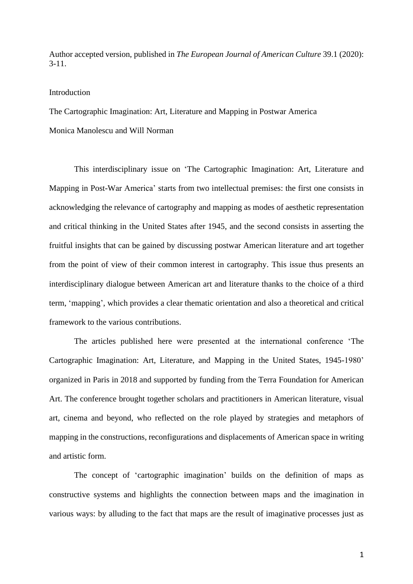Author accepted version, published in *The European Journal of American Culture* 39.1 (2020): 3-11.

#### Introduction

The Cartographic Imagination: Art, Literature and Mapping in Postwar America

Monica Manolescu and Will Norman

This interdisciplinary issue on 'The Cartographic Imagination: Art, Literature and Mapping in Post-War America' starts from two intellectual premises: the first one consists in acknowledging the relevance of cartography and mapping as modes of aesthetic representation and critical thinking in the United States after 1945, and the second consists in asserting the fruitful insights that can be gained by discussing postwar American literature and art together from the point of view of their common interest in cartography. This issue thus presents an interdisciplinary dialogue between American art and literature thanks to the choice of a third term, 'mapping', which provides a clear thematic orientation and also a theoretical and critical framework to the various contributions.

The articles published here were presented at the international conference 'The Cartographic Imagination: Art, Literature, and Mapping in the United States, 1945-1980' organized in Paris in 2018 and supported by funding from the Terra Foundation for American Art. The conference brought together scholars and practitioners in American literature, visual art, cinema and beyond, who reflected on the role played by strategies and metaphors of mapping in the constructions, reconfigurations and displacements of American space in writing and artistic form.

The concept of 'cartographic imagination' builds on the definition of maps as constructive systems and highlights the connection between maps and the imagination in various ways: by alluding to the fact that maps are the result of imaginative processes just as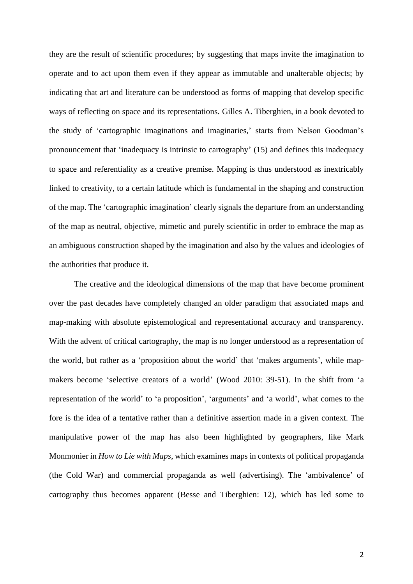they are the result of scientific procedures; by suggesting that maps invite the imagination to operate and to act upon them even if they appear as immutable and unalterable objects; by indicating that art and literature can be understood as forms of mapping that develop specific ways of reflecting on space and its representations. Gilles A. Tiberghien, in a book devoted to the study of 'cartographic imaginations and imaginaries,' starts from Nelson Goodman's pronouncement that 'inadequacy is intrinsic to cartography' (15) and defines this inadequacy to space and referentiality as a creative premise. Mapping is thus understood as inextricably linked to creativity, to a certain latitude which is fundamental in the shaping and construction of the map. The 'cartographic imagination' clearly signals the departure from an understanding of the map as neutral, objective, mimetic and purely scientific in order to embrace the map as an ambiguous construction shaped by the imagination and also by the values and ideologies of the authorities that produce it.

The creative and the ideological dimensions of the map that have become prominent over the past decades have completely changed an older paradigm that associated maps and map-making with absolute epistemological and representational accuracy and transparency. With the advent of critical cartography, the map is no longer understood as a representation of the world, but rather as a 'proposition about the world' that 'makes arguments', while mapmakers become 'selective creators of a world' (Wood 2010: 39-51). In the shift from 'a representation of the world' to 'a proposition', 'arguments' and 'a world', what comes to the fore is the idea of a tentative rather than a definitive assertion made in a given context. The manipulative power of the map has also been highlighted by geographers, like Mark Monmonier in *How to Lie with Maps*, which examines maps in contexts of political propaganda (the Cold War) and commercial propaganda as well (advertising). The 'ambivalence' of cartography thus becomes apparent (Besse and Tiberghien: 12), which has led some to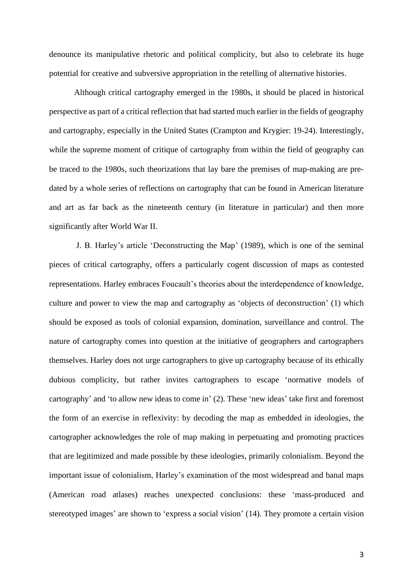denounce its manipulative rhetoric and political complicity, but also to celebrate its huge potential for creative and subversive appropriation in the retelling of alternative histories.

Although critical cartography emerged in the 1980s, it should be placed in historical perspective as part of a critical reflection that had started much earlier in the fields of geography and cartography, especially in the United States (Crampton and Krygier: 19-24). Interestingly, while the supreme moment of critique of cartography from within the field of geography can be traced to the 1980s, such theorizations that lay bare the premises of map-making are predated by a whole series of reflections on cartography that can be found in American literature and art as far back as the nineteenth century (in literature in particular) and then more significantly after World War II.

J. B. Harley's article 'Deconstructing the Map' (1989), which is one of the seminal pieces of critical cartography, offers a particularly cogent discussion of maps as contested representations. Harley embraces Foucault's theories about the interdependence of knowledge, culture and power to view the map and cartography as 'objects of deconstruction' (1) which should be exposed as tools of colonial expansion, domination, surveillance and control. The nature of cartography comes into question at the initiative of geographers and cartographers themselves. Harley does not urge cartographers to give up cartography because of its ethically dubious complicity, but rather invites cartographers to escape 'normative models of cartography' and 'to allow new ideas to come in' (2). These 'new ideas' take first and foremost the form of an exercise in reflexivity: by decoding the map as embedded in ideologies, the cartographer acknowledges the role of map making in perpetuating and promoting practices that are legitimized and made possible by these ideologies, primarily colonialism. Beyond the important issue of colonialism, Harley's examination of the most widespread and banal maps (American road atlases) reaches unexpected conclusions: these 'mass-produced and stereotyped images' are shown to 'express a social vision' (14). They promote a certain vision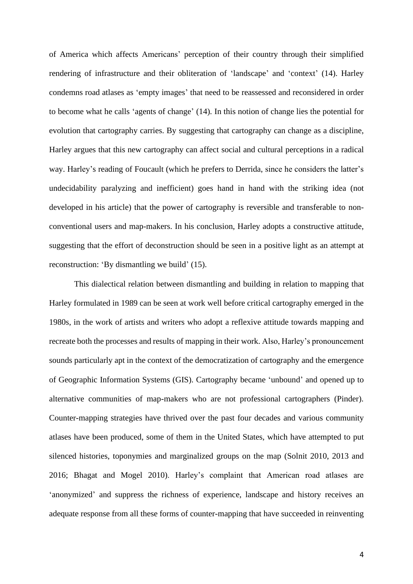of America which affects Americans' perception of their country through their simplified rendering of infrastructure and their obliteration of 'landscape' and 'context' (14). Harley condemns road atlases as 'empty images' that need to be reassessed and reconsidered in order to become what he calls 'agents of change' (14). In this notion of change lies the potential for evolution that cartography carries. By suggesting that cartography can change as a discipline, Harley argues that this new cartography can affect social and cultural perceptions in a radical way. Harley's reading of Foucault (which he prefers to Derrida, since he considers the latter's undecidability paralyzing and inefficient) goes hand in hand with the striking idea (not developed in his article) that the power of cartography is reversible and transferable to nonconventional users and map-makers. In his conclusion, Harley adopts a constructive attitude, suggesting that the effort of deconstruction should be seen in a positive light as an attempt at reconstruction: 'By dismantling we build' (15).

This dialectical relation between dismantling and building in relation to mapping that Harley formulated in 1989 can be seen at work well before critical cartography emerged in the 1980s, in the work of artists and writers who adopt a reflexive attitude towards mapping and recreate both the processes and results of mapping in their work. Also, Harley's pronouncement sounds particularly apt in the context of the democratization of cartography and the emergence of Geographic Information Systems (GIS). Cartography became 'unbound' and opened up to alternative communities of map-makers who are not professional cartographers (Pinder). Counter-mapping strategies have thrived over the past four decades and various community atlases have been produced, some of them in the United States, which have attempted to put silenced histories, toponymies and marginalized groups on the map (Solnit 2010, 2013 and 2016; Bhagat and Mogel 2010). Harley's complaint that American road atlases are 'anonymized' and suppress the richness of experience, landscape and history receives an adequate response from all these forms of counter-mapping that have succeeded in reinventing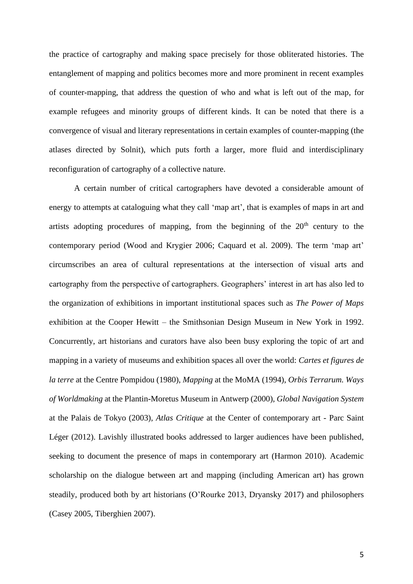the practice of cartography and making space precisely for those obliterated histories. The entanglement of mapping and politics becomes more and more prominent in recent examples of counter-mapping, that address the question of who and what is left out of the map, for example refugees and minority groups of different kinds. It can be noted that there is a convergence of visual and literary representations in certain examples of counter-mapping (the atlases directed by Solnit), which puts forth a larger, more fluid and interdisciplinary reconfiguration of cartography of a collective nature.

A certain number of critical cartographers have devoted a considerable amount of energy to attempts at cataloguing what they call 'map art', that is examples of maps in art and artists adopting procedures of mapping, from the beginning of the  $20<sup>th</sup>$  century to the contemporary period (Wood and Krygier 2006; Caquard et al. 2009). The term 'map art' circumscribes an area of cultural representations at the intersection of visual arts and cartography from the perspective of cartographers. Geographers' interest in art has also led to the organization of exhibitions in important institutional spaces such as *The Power of Maps* exhibition at the Cooper Hewitt – the Smithsonian Design Museum in New York in 1992. Concurrently, art historians and curators have also been busy exploring the topic of art and mapping in a variety of museums and exhibition spaces all over the world: *Cartes et figures de la terre* at the Centre Pompidou (1980), *Mapping* at the MoMA (1994), *Orbis Terrarum. Ways of Worldmaking* at the Plantin-Moretus Museum in Antwerp (2000), *Global Navigation System* at the Palais de Tokyo (2003), *Atlas Critique* at the Center of contemporary art - Parc Saint Léger (2012). Lavishly illustrated books addressed to larger audiences have been published, seeking to document the presence of maps in contemporary art (Harmon 2010). Academic scholarship on the dialogue between art and mapping (including American art) has grown steadily, produced both by art historians (O'Rourke 2013, Dryansky 2017) and philosophers (Casey 2005, Tiberghien 2007).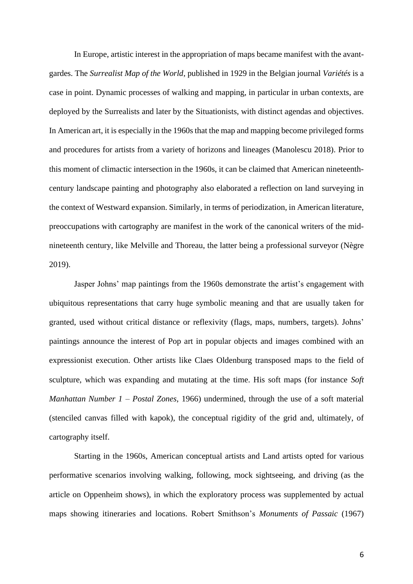In Europe, artistic interest in the appropriation of maps became manifest with the avantgardes. The *Surrealist Map of the World*, published in 1929 in the Belgian journal *Variétés* is a case in point. Dynamic processes of walking and mapping, in particular in urban contexts, are deployed by the Surrealists and later by the Situationists, with distinct agendas and objectives. In American art, it is especially in the 1960s that the map and mapping become privileged forms and procedures for artists from a variety of horizons and lineages (Manolescu 2018). Prior to this moment of climactic intersection in the 1960s, it can be claimed that American nineteenthcentury landscape painting and photography also elaborated a reflection on land surveying in the context of Westward expansion. Similarly, in terms of periodization, in American literature, preoccupations with cartography are manifest in the work of the canonical writers of the midnineteenth century, like Melville and Thoreau, the latter being a professional surveyor (Nègre 2019).

Jasper Johns' map paintings from the 1960s demonstrate the artist's engagement with ubiquitous representations that carry huge symbolic meaning and that are usually taken for granted, used without critical distance or reflexivity (flags, maps, numbers, targets). Johns' paintings announce the interest of Pop art in popular objects and images combined with an expressionist execution. Other artists like Claes Oldenburg transposed maps to the field of sculpture, which was expanding and mutating at the time. His soft maps (for instance *Soft Manhattan Number 1 – Postal Zones*, 1966) undermined, through the use of a soft material (stenciled canvas filled with kapok), the conceptual rigidity of the grid and, ultimately, of cartography itself.

Starting in the 1960s, American conceptual artists and Land artists opted for various performative scenarios involving walking, following, mock sightseeing, and driving (as the article on Oppenheim shows), in which the exploratory process was supplemented by actual maps showing itineraries and locations. Robert Smithson's *Monuments of Passaic* (1967)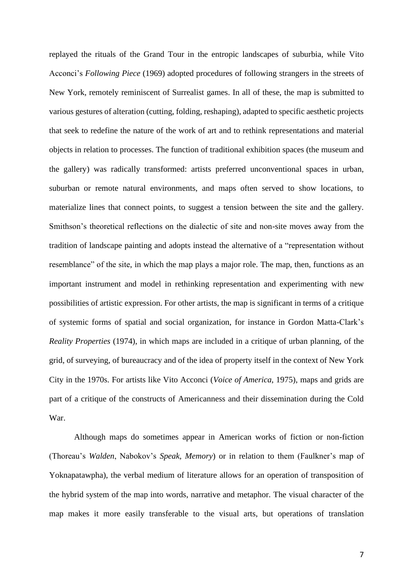replayed the rituals of the Grand Tour in the entropic landscapes of suburbia, while Vito Acconci's *Following Piece* (1969) adopted procedures of following strangers in the streets of New York, remotely reminiscent of Surrealist games. In all of these, the map is submitted to various gestures of alteration (cutting, folding, reshaping), adapted to specific aesthetic projects that seek to redefine the nature of the work of art and to rethink representations and material objects in relation to processes. The function of traditional exhibition spaces (the museum and the gallery) was radically transformed: artists preferred unconventional spaces in urban, suburban or remote natural environments, and maps often served to show locations, to materialize lines that connect points, to suggest a tension between the site and the gallery. Smithson's theoretical reflections on the dialectic of site and non-site moves away from the tradition of landscape painting and adopts instead the alternative of a "representation without resemblance" of the site, in which the map plays a major role. The map, then, functions as an important instrument and model in rethinking representation and experimenting with new possibilities of artistic expression. For other artists, the map is significant in terms of a critique of systemic forms of spatial and social organization, for instance in Gordon Matta-Clark's *Reality Properties* (1974), in which maps are included in a critique of urban planning, of the grid, of surveying, of bureaucracy and of the idea of property itself in the context of New York City in the 1970s. For artists like Vito Acconci (*Voice of America*, 1975), maps and grids are part of a critique of the constructs of Americanness and their dissemination during the Cold War.

Although maps do sometimes appear in American works of fiction or non-fiction (Thoreau's *Walden*, Nabokov's *Speak, Memory*) or in relation to them (Faulkner's map of Yoknapatawpha), the verbal medium of literature allows for an operation of transposition of the hybrid system of the map into words, narrative and metaphor. The visual character of the map makes it more easily transferable to the visual arts, but operations of translation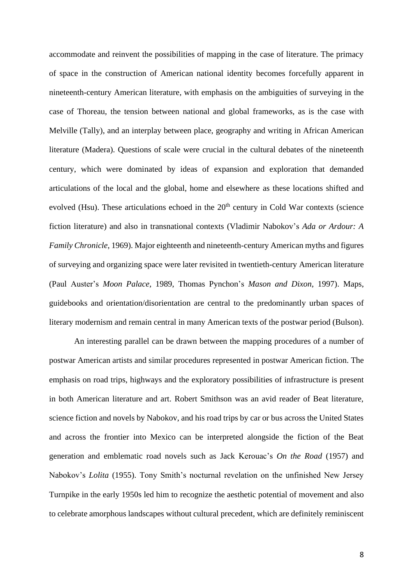accommodate and reinvent the possibilities of mapping in the case of literature. The primacy of space in the construction of American national identity becomes forcefully apparent in nineteenth-century American literature, with emphasis on the ambiguities of surveying in the case of Thoreau, the tension between national and global frameworks, as is the case with Melville (Tally), and an interplay between place, geography and writing in African American literature (Madera). Questions of scale were crucial in the cultural debates of the nineteenth century, which were dominated by ideas of expansion and exploration that demanded articulations of the local and the global, home and elsewhere as these locations shifted and evolved (Hsu). These articulations echoed in the  $20<sup>th</sup>$  century in Cold War contexts (science fiction literature) and also in transnational contexts (Vladimir Nabokov's *Ada or Ardour: A Family Chronicle*, 1969). Major eighteenth and nineteenth-century American myths and figures of surveying and organizing space were later revisited in twentieth-century American literature (Paul Auster's *Moon Palace*, 1989, Thomas Pynchon's *Mason and Dixon*, 1997). Maps, guidebooks and orientation/disorientation are central to the predominantly urban spaces of literary modernism and remain central in many American texts of the postwar period (Bulson).

An interesting parallel can be drawn between the mapping procedures of a number of postwar American artists and similar procedures represented in postwar American fiction. The emphasis on road trips, highways and the exploratory possibilities of infrastructure is present in both American literature and art. Robert Smithson was an avid reader of Beat literature, science fiction and novels by Nabokov, and his road trips by car or bus across the United States and across the frontier into Mexico can be interpreted alongside the fiction of the Beat generation and emblematic road novels such as Jack Kerouac's *On the Road* (1957) and Nabokov's *Lolita* (1955). Tony Smith's nocturnal revelation on the unfinished New Jersey Turnpike in the early 1950s led him to recognize the aesthetic potential of movement and also to celebrate amorphous landscapes without cultural precedent, which are definitely reminiscent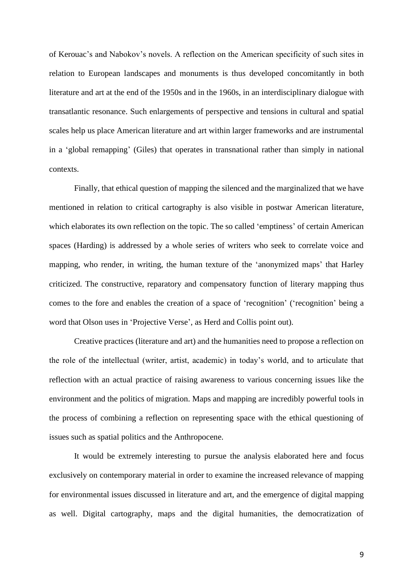of Kerouac's and Nabokov's novels. A reflection on the American specificity of such sites in relation to European landscapes and monuments is thus developed concomitantly in both literature and art at the end of the 1950s and in the 1960s, in an interdisciplinary dialogue with transatlantic resonance. Such enlargements of perspective and tensions in cultural and spatial scales help us place American literature and art within larger frameworks and are instrumental in a 'global remapping' (Giles) that operates in transnational rather than simply in national contexts.

Finally, that ethical question of mapping the silenced and the marginalized that we have mentioned in relation to critical cartography is also visible in postwar American literature, which elaborates its own reflection on the topic. The so called 'emptiness' of certain American spaces (Harding) is addressed by a whole series of writers who seek to correlate voice and mapping, who render, in writing, the human texture of the 'anonymized maps' that Harley criticized. The constructive, reparatory and compensatory function of literary mapping thus comes to the fore and enables the creation of a space of 'recognition' ('recognition' being a word that Olson uses in 'Projective Verse', as Herd and Collis point out).

Creative practices (literature and art) and the humanities need to propose a reflection on the role of the intellectual (writer, artist, academic) in today's world, and to articulate that reflection with an actual practice of raising awareness to various concerning issues like the environment and the politics of migration. Maps and mapping are incredibly powerful tools in the process of combining a reflection on representing space with the ethical questioning of issues such as spatial politics and the Anthropocene.

It would be extremely interesting to pursue the analysis elaborated here and focus exclusively on contemporary material in order to examine the increased relevance of mapping for environmental issues discussed in literature and art, and the emergence of digital mapping as well. Digital cartography, maps and the digital humanities, the democratization of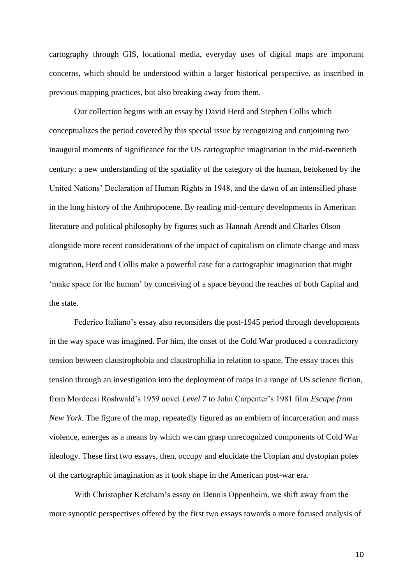cartography through GIS, locational media, everyday uses of digital maps are important concerns, which should be understood within a larger historical perspective, as inscribed in previous mapping practices, but also breaking away from them.

Our collection begins with an essay by David Herd and Stephen Collis which conceptualizes the period covered by this special issue by recognizing and conjoining two inaugural moments of significance for the US cartographic imagination in the mid-twentieth century: a new understanding of the spatiality of the category of the human, betokened by the United Nations' Declaration of Human Rights in 1948, and the dawn of an intensified phase in the long history of the Anthropocene. By reading mid-century developments in American literature and political philosophy by figures such as Hannah Arendt and Charles Olson alongside more recent considerations of the impact of capitalism on climate change and mass migration, Herd and Collis make a powerful case for a cartographic imagination that might 'make space for the human' by conceiving of a space beyond the reaches of both Capital and the state.

Federico Italiano's essay also reconsiders the post-1945 period through developments in the way space was imagined. For him, the onset of the Cold War produced a contradictory tension between claustrophobia and claustrophilia in relation to space. The essay traces this tension through an investigation into the deployment of maps in a range of US science fiction, from Mordecai Roshwald's 1959 novel *Level 7* to John Carpenter's 1981 film *Escape from New York*. The figure of the map, repeatedly figured as an emblem of incarceration and mass violence, emerges as a means by which we can grasp unrecognized components of Cold War ideology. These first two essays, then, occupy and elucidate the Utopian and dystopian poles of the cartographic imagination as it took shape in the American post-war era.

With Christopher Ketcham's essay on Dennis Oppenheim, we shift away from the more synoptic perspectives offered by the first two essays towards a more focused analysis of

10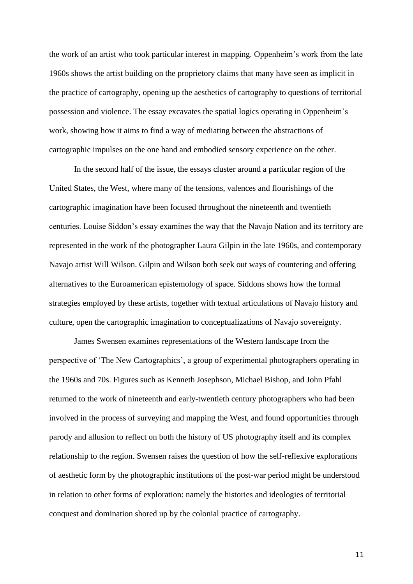the work of an artist who took particular interest in mapping. Oppenheim's work from the late 1960s shows the artist building on the proprietory claims that many have seen as implicit in the practice of cartography, opening up the aesthetics of cartography to questions of territorial possession and violence. The essay excavates the spatial logics operating in Oppenheim's work, showing how it aims to find a way of mediating between the abstractions of cartographic impulses on the one hand and embodied sensory experience on the other.

In the second half of the issue, the essays cluster around a particular region of the United States, the West, where many of the tensions, valences and flourishings of the cartographic imagination have been focused throughout the nineteenth and twentieth centuries. Louise Siddon's essay examines the way that the Navajo Nation and its territory are represented in the work of the photographer Laura Gilpin in the late 1960s, and contemporary Navajo artist Will Wilson. Gilpin and Wilson both seek out ways of countering and offering alternatives to the Euroamerican epistemology of space. Siddons shows how the formal strategies employed by these artists, together with textual articulations of Navajo history and culture, open the cartographic imagination to conceptualizations of Navajo sovereignty.

James Swensen examines representations of the Western landscape from the perspective of 'The New Cartographics', a group of experimental photographers operating in the 1960s and 70s. Figures such as Kenneth Josephson, Michael Bishop, and John Pfahl returned to the work of nineteenth and early-twentieth century photographers who had been involved in the process of surveying and mapping the West, and found opportunities through parody and allusion to reflect on both the history of US photography itself and its complex relationship to the region. Swensen raises the question of how the self-reflexive explorations of aesthetic form by the photographic institutions of the post-war period might be understood in relation to other forms of exploration: namely the histories and ideologies of territorial conquest and domination shored up by the colonial practice of cartography.

11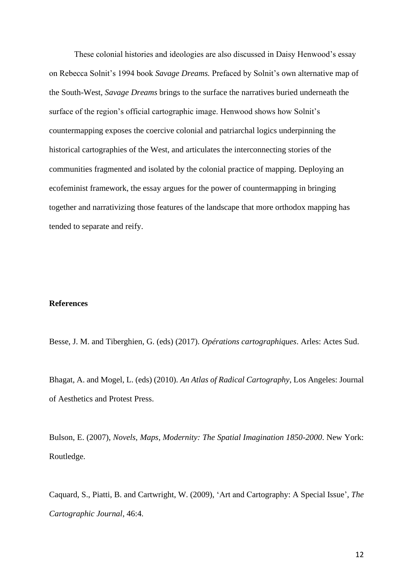These colonial histories and ideologies are also discussed in Daisy Henwood's essay on Rebecca Solnit's 1994 book *Savage Dreams.* Prefaced by Solnit's own alternative map of the South-West, *Savage Dreams* brings to the surface the narratives buried underneath the surface of the region's official cartographic image. Henwood shows how Solnit's countermapping exposes the coercive colonial and patriarchal logics underpinning the historical cartographies of the West, and articulates the interconnecting stories of the communities fragmented and isolated by the colonial practice of mapping. Deploying an ecofeminist framework, the essay argues for the power of countermapping in bringing together and narrativizing those features of the landscape that more orthodox mapping has tended to separate and reify.

#### **References**

Besse, J. M. and Tiberghien, G. (eds) (2017). *Opérations cartographiques*. Arles: Actes Sud.

Bhagat, A. and Mogel, L. (eds) (2010). *An Atlas of Radical Cartography*, Los Angeles: Journal of Aesthetics and Protest Press.

Bulson, E. (2007), *Novels, Maps, Modernity: The Spatial Imagination 1850-2000*. New York: Routledge.

Caquard, S., Piatti, B. and Cartwright, W. (2009), 'Art and Cartography: A Special Issue', *The Cartographic Journal*, 46:4.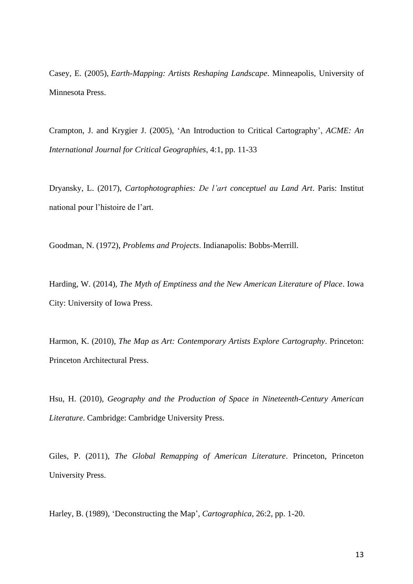Casey, E. (2005), *Earth-Mapping: Artists Reshaping Landscape*. Minneapolis, University of Minnesota Press.

Crampton, J. and Krygier J. (2005), 'An Introduction to Critical Cartography', *ACME: An International Journal for Critical Geographies*, 4:1, pp. 11-33

Dryansky, L. (2017), *Cartophotographies: De l'art conceptuel au Land Art*. Paris: Institut national pour l'histoire de l'art.

Goodman, N. (1972), *Problems and Projects*. Indianapolis: Bobbs-Merrill.

Harding, W. (2014), *The Myth of Emptiness and the New American Literature of Place*. Iowa City: University of Iowa Press.

Harmon, K. (2010), *The Map as Art: Contemporary Artists Explore Cartography*. Princeton: Princeton Architectural Press.

Hsu, H. (2010), *Geography and the Production of Space in Nineteenth-Century American Literature*. Cambridge: Cambridge University Press.

Giles, P. (2011), *The Global Remapping of American Literature*. Princeton, Princeton University Press.

Harley, B. (1989), 'Deconstructing the Map', *Cartographica*, 26:2, pp. 1-20.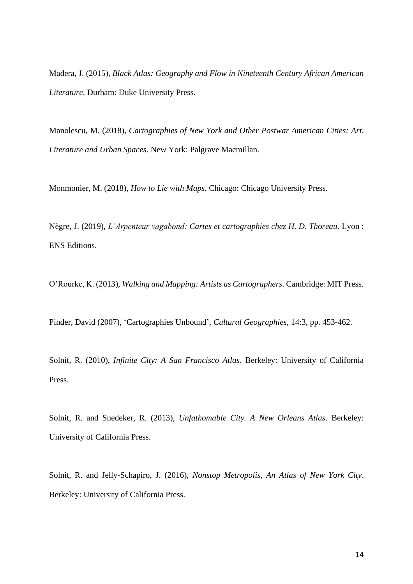Madera, J. (2015), *Black Atlas: Geography and Flow in Nineteenth Century African American Literature*. Durham: Duke University Press.

Manolescu, M. (2018), *Cartographies of New York and Other Postwar American Cities: Art, Literature and Urban Spaces*. New York: Palgrave Macmillan.

Monmonier, M. (2018), *How to Lie with Maps*. Chicago: Chicago University Press.

Nègre, J. (2019), *L'Arpenteur vagabond: Cartes et cartographies chez H. D. Thoreau*. Lyon : ENS Editions.

O'Rourke, K. (2013), *Walking and Mapping: Artists as Cartographers*. Cambridge: MIT Press.

Pinder, David (2007), 'Cartographies Unbound', *Cultural Geographies*, 14:3, pp. 453-462.

Solnit, R. (2010), *Infinite City: A San Francisco Atlas*. Berkeley: University of California Press.

Solnit, R. and Snedeker, R. (2013), *Unfathomable City. A New Orleans Atlas*. Berkeley: University of California Press.

Solnit, R. and Jelly-Schapiro, J. (2016), *Nonstop Metropolis, An Atlas of New York City*. Berkeley: University of California Press.